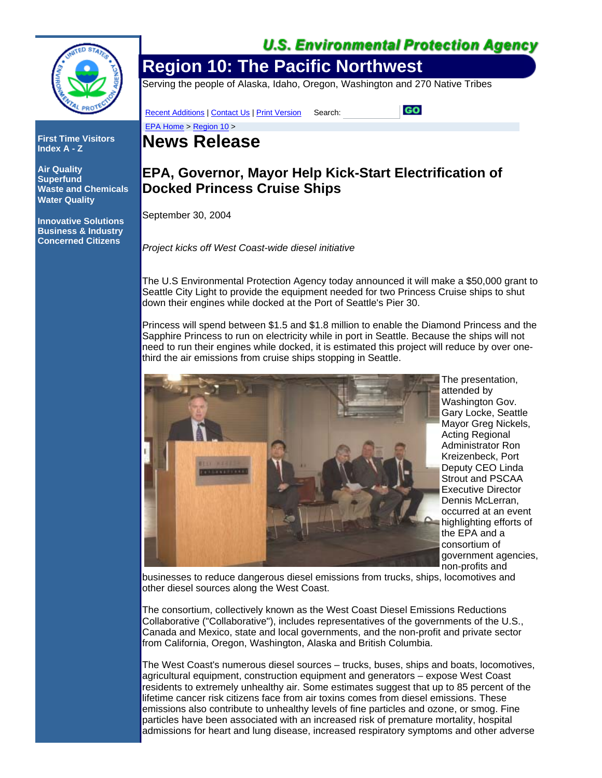

**First Time Visitors Index A - Z**

**Air Quality Superfund Waste and Chemicals Water Quality**

**Innovative Solutions Business & Industry Concerned Citizens**

### **U.S. Environmental Protection Agency**

# **Region 10: The Pacific Northwest**

Serving the people of Alaska, Idaho, Oregon, Washington and 270 Native Tribes

Recent Additions | Contact Us | Print Version Search:

GO

## **News Release**

EPA Home > Region 10 >

### **EPA, Governor, Mayor Help Kick-Start Electrification of Docked Princess Cruise Ships**

September 30, 2004

*Project kicks off West Coast-wide diesel initiative*

The U.S Environmental Protection Agency today announced it will make a \$50,000 grant to Seattle City Light to provide the equipment needed for two Princess Cruise ships to shut down their engines while docked at the Port of Seattle's Pier 30.

Princess will spend between \$1.5 and \$1.8 million to enable the Diamond Princess and the Sapphire Princess to run on electricity while in port in Seattle. Because the ships will not need to run their engines while docked, it is estimated this project will reduce by over onethird the air emissions from cruise ships stopping in Seattle.



The presentation, attended by Washington Gov. Gary Locke, Seattle Mayor Greg Nickels, Acting Regional Administrator Ron Kreizenbeck, Port Deputy CEO Linda Strout and PSCAA Executive Director Dennis McLerran, occurred at an event highlighting efforts of the EPA and a consortium of government agencies, non-profits and

businesses to reduce dangerous diesel emissions from trucks, ships, locomotives and other diesel sources along the West Coast.

The consortium, collectively known as the West Coast Diesel Emissions Reductions Collaborative ("Collaborative"), includes representatives of the governments of the U.S., Canada and Mexico, state and local governments, and the non-profit and private sector from California, Oregon, Washington, Alaska and British Columbia.

The West Coast's numerous diesel sources – trucks, buses, ships and boats, locomotives, agricultural equipment, construction equipment and generators – expose West Coast residents to extremely unhealthy air. Some estimates suggest that up to 85 percent of the lifetime cancer risk citizens face from air toxins comes from diesel emissions. These emissions also contribute to unhealthy levels of fine particles and ozone, or smog. Fine particles have been associated with an increased risk of premature mortality, hospital admissions for heart and lung disease, increased respiratory symptoms and other adverse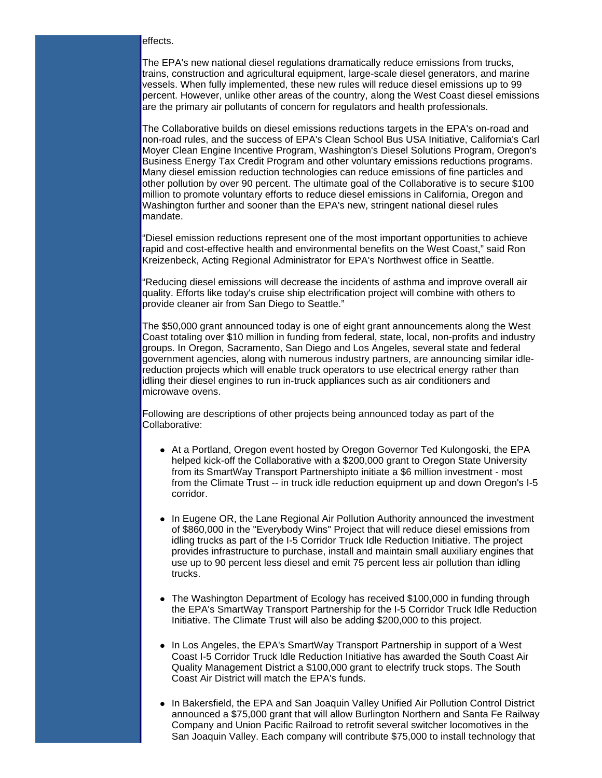#### effects.

The EPA's new national diesel regulations dramatically reduce emissions from trucks, trains, construction and agricultural equipment, large-scale diesel generators, and marine vessels. When fully implemented, these new rules will reduce diesel emissions up to 99 percent. However, unlike other areas of the country, along the West Coast diesel emissions are the primary air pollutants of concern for regulators and health professionals.

The Collaborative builds on diesel emissions reductions targets in the EPA's on-road and non-road rules, and the success of EPA's Clean School Bus USA Initiative, California's Carl Moyer Clean Engine Incentive Program, Washington's Diesel Solutions Program, Oregon's Business Energy Tax Credit Program and other voluntary emissions reductions programs. Many diesel emission reduction technologies can reduce emissions of fine particles and other pollution by over 90 percent. The ultimate goal of the Collaborative is to secure \$100 million to promote voluntary efforts to reduce diesel emissions in California, Oregon and Washington further and sooner than the EPA's new, stringent national diesel rules mandate.

"Diesel emission reductions represent one of the most important opportunities to achieve rapid and cost-effective health and environmental benefits on the West Coast," said Ron Kreizenbeck, Acting Regional Administrator for EPA's Northwest office in Seattle.

"Reducing diesel emissions will decrease the incidents of asthma and improve overall air quality. Efforts like today's cruise ship electrification project will combine with others to provide cleaner air from San Diego to Seattle."

The \$50,000 grant announced today is one of eight grant announcements along the West Coast totaling over \$10 million in funding from federal, state, local, non-profits and industry groups. In Oregon, Sacramento, San Diego and Los Angeles, several state and federal government agencies, along with numerous industry partners, are announcing similar idlereduction projects which will enable truck operators to use electrical energy rather than idling their diesel engines to run in-truck appliances such as air conditioners and microwave ovens.

Following are descriptions of other projects being announced today as part of the Collaborative:

- At a Portland, Oregon event hosted by Oregon Governor Ted Kulongoski, the EPA helped kick-off the Collaborative with a \$200,000 grant to Oregon State University from its SmartWay Transport Partnershipto initiate a \$6 million investment - most from the Climate Trust -- in truck idle reduction equipment up and down Oregon's I-5 corridor.
- In Eugene OR, the Lane Regional Air Pollution Authority announced the investment of \$860,000 in the "Everybody Wins" Project that will reduce diesel emissions from idling trucks as part of the I-5 Corridor Truck Idle Reduction Initiative. The project provides infrastructure to purchase, install and maintain small auxiliary engines that use up to 90 percent less diesel and emit 75 percent less air pollution than idling trucks.
- The Washington Department of Ecology has received \$100,000 in funding through the EPA's SmartWay Transport Partnership for the I-5 Corridor Truck Idle Reduction Initiative. The Climate Trust will also be adding \$200,000 to this project.
- In Los Angeles, the EPA's SmartWay Transport Partnership in support of a West Coast I-5 Corridor Truck Idle Reduction Initiative has awarded the South Coast Air Quality Management District a \$100,000 grant to electrify truck stops. The South Coast Air District will match the EPA's funds.
- In Bakersfield, the EPA and San Joaquin Valley Unified Air Pollution Control District announced a \$75,000 grant that will allow Burlington Northern and Santa Fe Railway Company and Union Pacific Railroad to retrofit several switcher locomotives in the San Joaquin Valley. Each company will contribute \$75,000 to install technology that